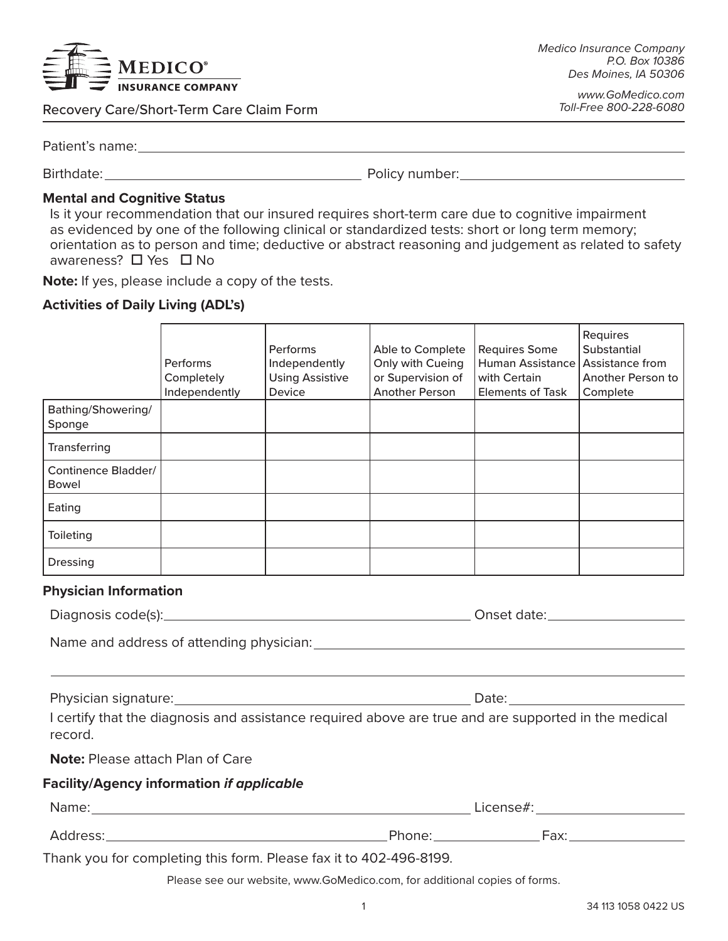

Recovery Care/Short-Term Care Claim Form

*www.GoMedico.com Toll-Free 800-228-6080*

Patient's name:

Birthdate: Policy number:

## **Mental and Cognitive Status**

Is it your recommendation that our insured requires short-term care due to cognitive impairment as evidenced by one of the following clinical or standardized tests: short or long term memory; orientation as to person and time; deductive or abstract reasoning and judgement as related to safety awareness?  $\Box$  Yes  $\Box$  No

**Note:** If yes, please include a copy of the tests.

## **Activities of Daily Living (ADL's)**

|                                                                                                                 | Performs<br>Completely<br>Independently | <b>Performs</b><br>Independently<br><b>Using Assistive</b><br>Device | Able to Complete<br>Only with Cueing<br>or Supervision of<br><b>Another Person</b> | <b>Requires Some</b><br>Human Assistance Assistance from<br>with Certain<br><b>Elements of Task</b> | Requires<br>Substantial<br>Another Person to<br>Complete |
|-----------------------------------------------------------------------------------------------------------------|-----------------------------------------|----------------------------------------------------------------------|------------------------------------------------------------------------------------|-----------------------------------------------------------------------------------------------------|----------------------------------------------------------|
| Bathing/Showering/<br>Sponge                                                                                    |                                         |                                                                      |                                                                                    |                                                                                                     |                                                          |
| Transferring                                                                                                    |                                         |                                                                      |                                                                                    |                                                                                                     |                                                          |
| <b>Continence Bladder/</b><br><b>Bowel</b>                                                                      |                                         |                                                                      |                                                                                    |                                                                                                     |                                                          |
| Eating                                                                                                          |                                         |                                                                      |                                                                                    |                                                                                                     |                                                          |
| Toileting                                                                                                       |                                         |                                                                      |                                                                                    |                                                                                                     |                                                          |
| <b>Dressing</b>                                                                                                 |                                         |                                                                      |                                                                                    |                                                                                                     |                                                          |
| <b>Physician Information</b>                                                                                    |                                         |                                                                      |                                                                                    |                                                                                                     |                                                          |
|                                                                                                                 |                                         |                                                                      |                                                                                    |                                                                                                     |                                                          |
|                                                                                                                 |                                         |                                                                      |                                                                                    |                                                                                                     |                                                          |
|                                                                                                                 |                                         |                                                                      |                                                                                    |                                                                                                     |                                                          |
|                                                                                                                 |                                         |                                                                      |                                                                                    |                                                                                                     |                                                          |
| I certify that the diagnosis and assistance required above are true and are supported in the medical<br>record. |                                         |                                                                      |                                                                                    |                                                                                                     |                                                          |
| <b>Note:</b> Please attach Plan of Care                                                                         |                                         |                                                                      |                                                                                    |                                                                                                     |                                                          |
| <b>Facility/Agency information if applicable</b>                                                                |                                         |                                                                      |                                                                                    |                                                                                                     |                                                          |
|                                                                                                                 |                                         |                                                                      |                                                                                    |                                                                                                     |                                                          |
|                                                                                                                 |                                         |                                                                      |                                                                                    |                                                                                                     |                                                          |

Thank you for completing this form. Please fax it to 402-496-8199.

Please see our website, www.GoMedico.com, for additional copies of forms.